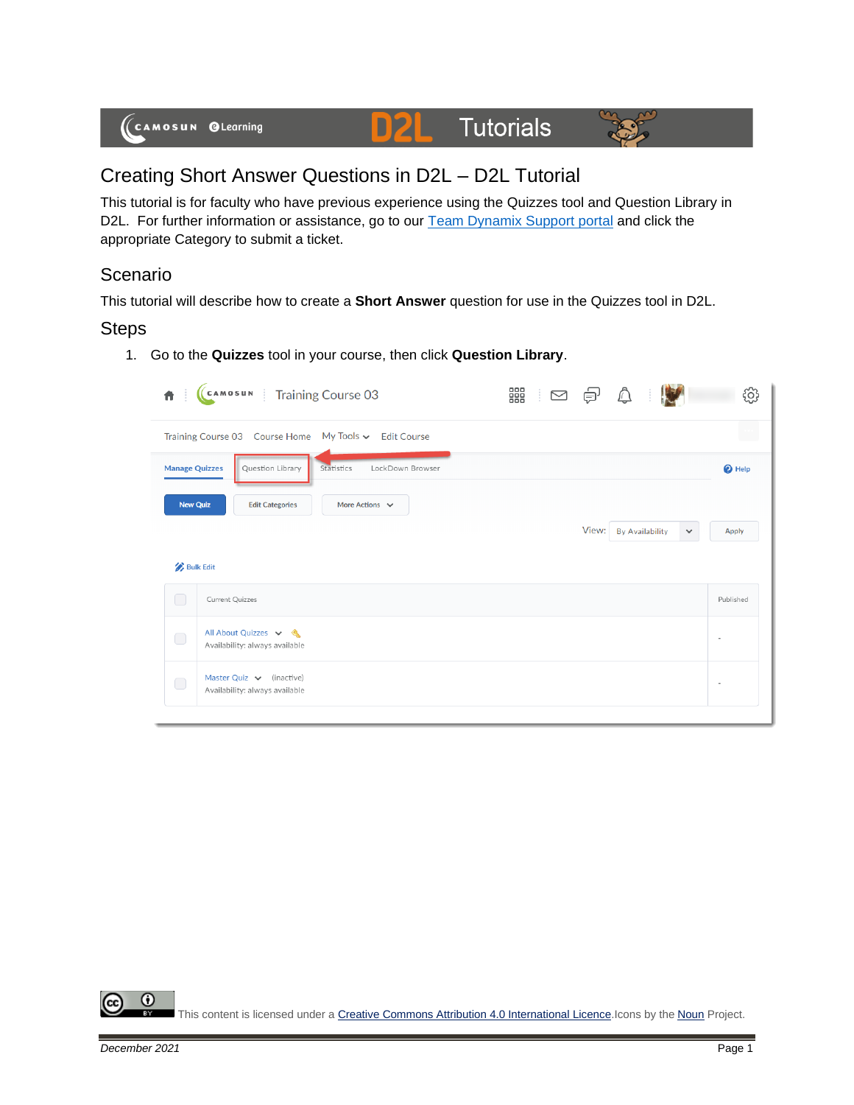

## Creating Short Answer Questions in D2L – D2L Tutorial

This tutorial is for faculty who have previous experience using the Quizzes tool and Question Library in D2L. For further information or assistance, go to our **Team Dynamix Support portal** and click the appropriate Category to submit a ticket.

## **Scenario**

This tutorial will describe how to create a **Short Answer** question for use in the Quizzes tool in D2L.

## Steps

1. Go to the **Quizzes** tool in your course, then click **Question Library**.

| 青                     | CAMOSUN   Training Course 03                                    | 器<br>් ල ළි |       |                        |                              |
|-----------------------|-----------------------------------------------------------------|-------------|-------|------------------------|------------------------------|
|                       | Training Course 03 Course Home My Tools v Edit Course           |             |       |                        |                              |
| <b>Manage Quizzes</b> | LockDown Browser<br>Statistics<br>Question Library              |             |       |                        | <sup>O</sup> Help            |
| <b>New Quiz</b>       | More Actions $\sim$<br><b>Edit Categories</b>                   |             |       |                        |                              |
|                       |                                                                 |             | View: | <b>By Availability</b> | <b>Apply</b><br>$\checkmark$ |
| <b>Bulk Edit</b>      |                                                                 |             |       |                        |                              |
| U                     | <b>Current Quizzes</b>                                          |             |       |                        | Published                    |
| $\bigcirc$            | All About Quizzes v &<br>Availability: always available         |             |       |                        | $\sim$                       |
| $\bigcirc$            | Master Quiz $\vee$ (inactive)<br>Availability: always available |             |       |                        |                              |
|                       |                                                                 |             |       |                        |                              |

0 This content is licensed under [a Creative Commons Attribution 4.0 International Licence.I](https://creativecommons.org/licenses/by/4.0/)cons by the [Noun](https://creativecommons.org/website-icons/) Project.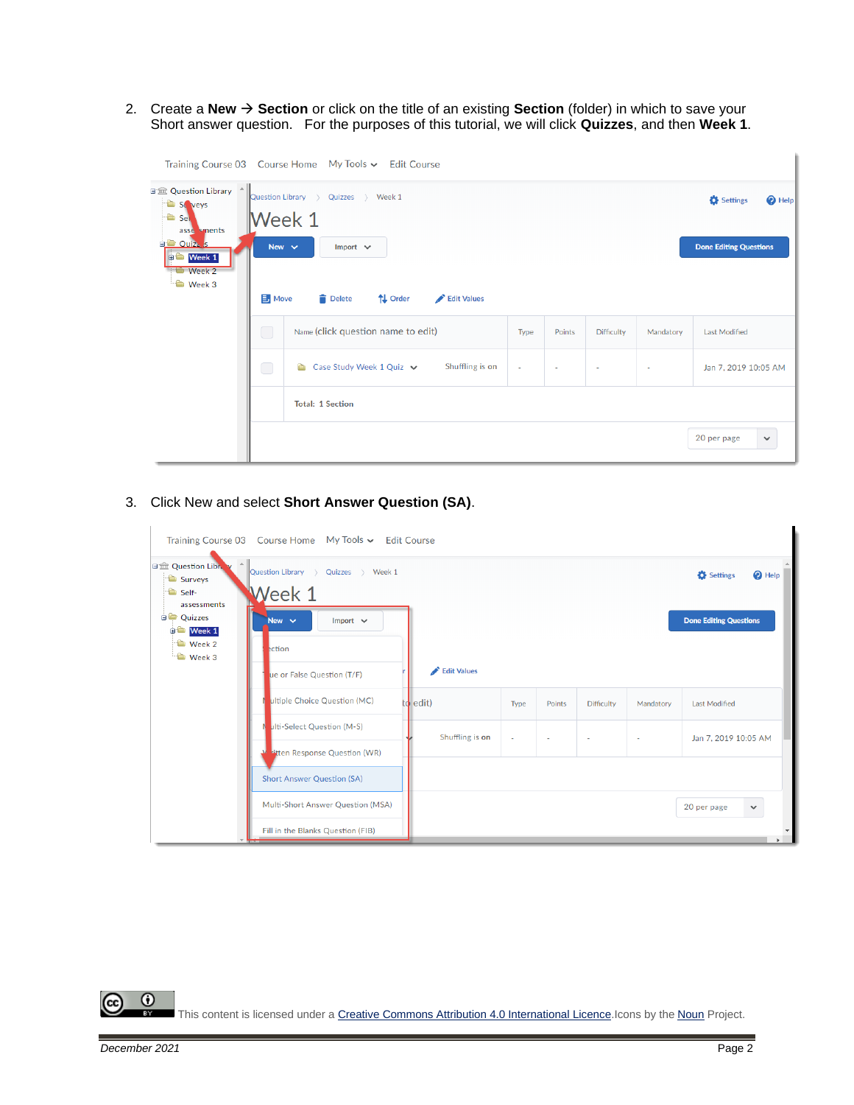2. Create a **New** → **Section** or click on the title of an existing **Section** (folder) in which to save your Short answer question. For the purposes of this tutorial, we will click **Quizzes**, and then **Week 1**.

|                                                                                                                                                                              |                              | Training Course 03 Course Home My Tools v Edit Course                                                         |        |        |                          |           |                                                                |
|------------------------------------------------------------------------------------------------------------------------------------------------------------------------------|------------------------------|---------------------------------------------------------------------------------------------------------------|--------|--------|--------------------------|-----------|----------------------------------------------------------------|
| 日金 Question Library ^<br>St veys<br><sup>t</sup> Sel<br>asse sments<br><b>D</b> Ouiz <sub>A</sub> <sub>S</sub><br>$\bullet$ Week 1<br>$\blacksquare$ Week 2<br><b>Week 3</b> | New $\sim$<br>$\exists$ Move | Quizzes > Week 1<br>Question Library ><br>Week 1<br>Import $\vee$<br>↑↓ Order<br>Edit Values<br><b>Delete</b> |        |        |                          |           | Settings<br><sup>O</sup> Help<br><b>Done Editing Questions</b> |
| $\Box$                                                                                                                                                                       |                              | Name (click question name to edit)                                                                            | Type   | Points | <b>Difficulty</b>        | Mandatory | Last Modified                                                  |
|                                                                                                                                                                              |                              |                                                                                                               |        |        |                          |           |                                                                |
|                                                                                                                                                                              | $\bigcirc$                   | Shuffling is on<br>Case Study Week 1 Quiz $\vee$<br>e.                                                        | $\sim$ |        | $\overline{\phantom{a}}$ | $\sim$    | Jan 7, 2019 10:05 AM                                           |
|                                                                                                                                                                              |                              | <b>Total: 1 Section</b>                                                                                       |        |        |                          |           |                                                                |
|                                                                                                                                                                              |                              |                                                                                                               |        |        |                          |           | 20 per page<br>$\checkmark$                                    |

3. Click New and select **Short Answer Question (SA)**.

|                                                      | Training Course 03 Course Home My Tools $\sim$ Edit Course |                 |        |        |                   |                          |                                        |
|------------------------------------------------------|------------------------------------------------------------|-----------------|--------|--------|-------------------|--------------------------|----------------------------------------|
| 日金 Question Libra<br>Surveys<br>Self-<br>assessments | Question Library ><br>Quizzes > Week 1<br>Veek 1           |                 |        |        |                   |                          | <b>D</b> Settings<br><sup>O</sup> Help |
| <b>Quizzes</b><br><b>CO</b> Week 1                   | Import $\vee$<br>New $\sim$                                |                 |        |        |                   |                          | <b>Done Editing Questions</b>          |
| $\bullet$ Week 2<br><b>D</b> Week 3                  | ection                                                     |                 |        |        |                   |                          |                                        |
|                                                      | ue or False Question (T/F)                                 | Edit Values     |        |        |                   |                          |                                        |
|                                                      | ultiple Choice Question (MC)                               | edit)<br>td     | Type   | Points | <b>Difficulty</b> | Mandatory                | <b>Last Modified</b>                   |
|                                                      | ulti-Select Question (M-S)                                 | Shuffling is on | $\sim$ | $\sim$ | ٠                 | $\overline{\phantom{a}}$ | Jan 7, 2019 10:05 AM                   |
|                                                      | titten Response Question (WR)                              |                 |        |        |                   |                          |                                        |
|                                                      | <b>Short Answer Question (SA)</b>                          |                 |        |        |                   |                          |                                        |
|                                                      | Multi-Short Answer Question (MSA)                          |                 |        |        |                   |                          | 20 per page<br>$\checkmark$            |
|                                                      | Fill in the Blanks Question (FIB)                          |                 |        |        |                   |                          |                                        |



This content is licensed under [a Creative Commons Attribution 4.0 International Licence.I](https://creativecommons.org/licenses/by/4.0/)cons by the [Noun](https://creativecommons.org/website-icons/) Project.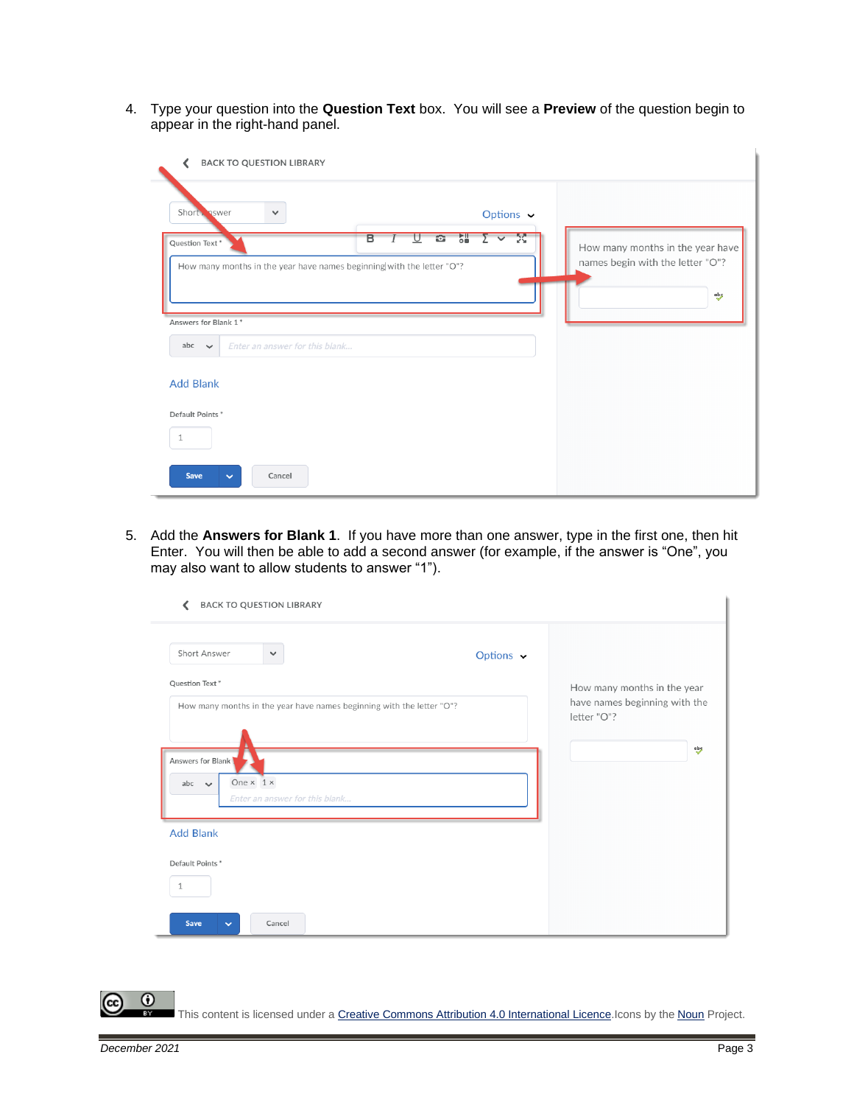4. Type your question into the **Question Text** box. You will see a **Preview** of the question begin to appear in the right-hand panel.

| <b>BACK TO QUESTION LIBRARY</b>                                                             |                                                          |                                                                             |
|---------------------------------------------------------------------------------------------|----------------------------------------------------------|-----------------------------------------------------------------------------|
| Short Swer<br>$\checkmark$                                                                  | Options $\sim$                                           |                                                                             |
| Question Text*<br>How many months in the year have names beginning with the letter "O"?     | 胬<br>õ.<br>B<br><b>R</b><br>$\overline{\mathbf{v}}$<br>⊻ | How many months in the year have<br>names begin with the letter "O"?<br>abs |
| Answers for Blank 1*<br>abc<br>Enter an answer for this blank<br>$\sim$<br><b>Add Blank</b> |                                                          |                                                                             |
| Default Points*<br>$\mathbf{1}$<br>Save<br>Cancel<br>$\checkmark$                           |                                                          |                                                                             |

5. Add the **Answers for Blank 1**. If you have more than one answer, type in the first one, then hit Enter. You will then be able to add a second answer (for example, if the answer is "One", you may also want to allow students to answer "1").

| <b>BACK TO QUESTION LIBRARY</b><br>∢                                                         |                |                                              |
|----------------------------------------------------------------------------------------------|----------------|----------------------------------------------|
| Short Answer<br>$\checkmark$                                                                 | Options $\sim$ |                                              |
| Question Text*                                                                               |                | How many months in the year                  |
| How many months in the year have names beginning with the letter "O"?                        |                | have names beginning with the<br>letter "O"? |
| Answers for Blank<br>One $\times$ 1 $\times$<br>abc $\vee$<br>Enter an answer for this blank |                | abs                                          |
| <b>Add Blank</b>                                                                             |                |                                              |
| Default Points*                                                                              |                |                                              |
| 1                                                                                            |                |                                              |
| Save<br>Cancel<br>$\checkmark$                                                               |                |                                              |

This content is licensed under [a Creative Commons Attribution 4.0 International Licence.I](https://creativecommons.org/licenses/by/4.0/)cons by the [Noun](https://creativecommons.org/website-icons/) Project.

 $\odot$